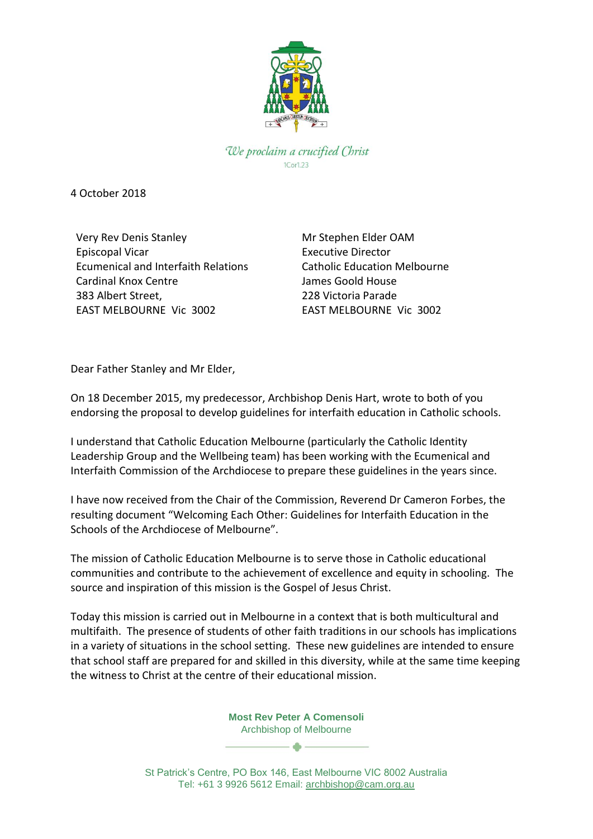

We proclaim a crucified Christ

4 October 2018

Very Rev Denis Stanley Episcopal Vicar Ecumenical and Interfaith Relations Cardinal Knox Centre 383 Albert Street, EAST MELBOURNE Vic 3002

Mr Stephen Elder OAM Executive Director Catholic Education Melbourne James Goold House 228 Victoria Parade EAST MELBOURNE Vic 3002

Dear Father Stanley and Mr Elder,

On 18 December 2015, my predecessor, Archbishop Denis Hart, wrote to both of you endorsing the proposal to develop guidelines for interfaith education in Catholic schools.

I understand that Catholic Education Melbourne (particularly the Catholic Identity Leadership Group and the Wellbeing team) has been working with the Ecumenical and Interfaith Commission of the Archdiocese to prepare these guidelines in the years since.

I have now received from the Chair of the Commission, Reverend Dr Cameron Forbes, the resulting document "Welcoming Each Other: Guidelines for Interfaith Education in the Schools of the Archdiocese of Melbourne".

The mission of Catholic Education Melbourne is to serve those in Catholic educational communities and contribute to the achievement of excellence and equity in schooling. The source and inspiration of this mission is the Gospel of Jesus Christ.

Today this mission is carried out in Melbourne in a context that is both multicultural and multifaith. The presence of students of other faith traditions in our schools has implications in a variety of situations in the school setting. These new guidelines are intended to ensure that school staff are prepared for and skilled in this diversity, while at the same time keeping the witness to Christ at the centre of their educational mission.

> **Most Rev Peter A Comensoli** Archbishop of Melbourne  $\bullet$   $-$

St Patrick's Centre, PO Box 146, East Melbourne VIC 8002 Australia Tel: +61 3 9926 5612 Email: [archbishop@cam.org.au](mailto:%20archbishop@cam.org.au)